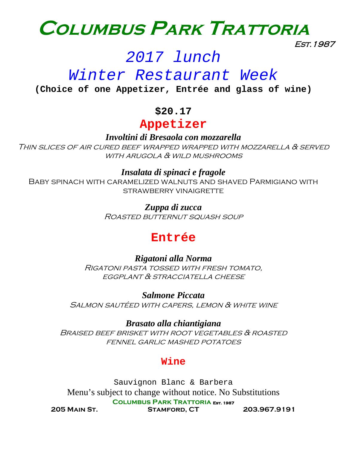

Est.1987

# *2017 lunch*

# *Winter Restaurant Week*

**(Choice of one Appetizer, Entrée and glass of wine)**

## **\$20.17**

# **Appetizer**

*Involtini di Bresaola con mozzarella*

Thin slices of air cured beef wrapped wrapped with mozzarella & served WITH ARUGOLA  $\alpha$  WILD MUSHROOMS

### *Insalata di spinaci e fragole*

Baby spinach with caramelized walnuts and shaved Parmigiano with strawberry vinaigrette

> *Zuppa di zucca* Roasted butternut squash soup

# **Entrée**

*Rigatoni alla Norma* Rigatoni pasta tossed with fresh tomato, **EGGPLANT & STRACCIATELLA CHEESE** 

*Salmone Piccata* Salmon sautéed with capers, lemon & white wine

*Brasato alla chiantigiana* Braised beef brisket with root vegetables & roasted fennel garlic mashed potatoes

#### **Wine**

**Columbus Park Trattoria Est. 1987** Sauvignon Blanc & Barbera Menu's subject to change without notice. No Substitutions

**205 Main St. Stamford, CT 203.967.9191**